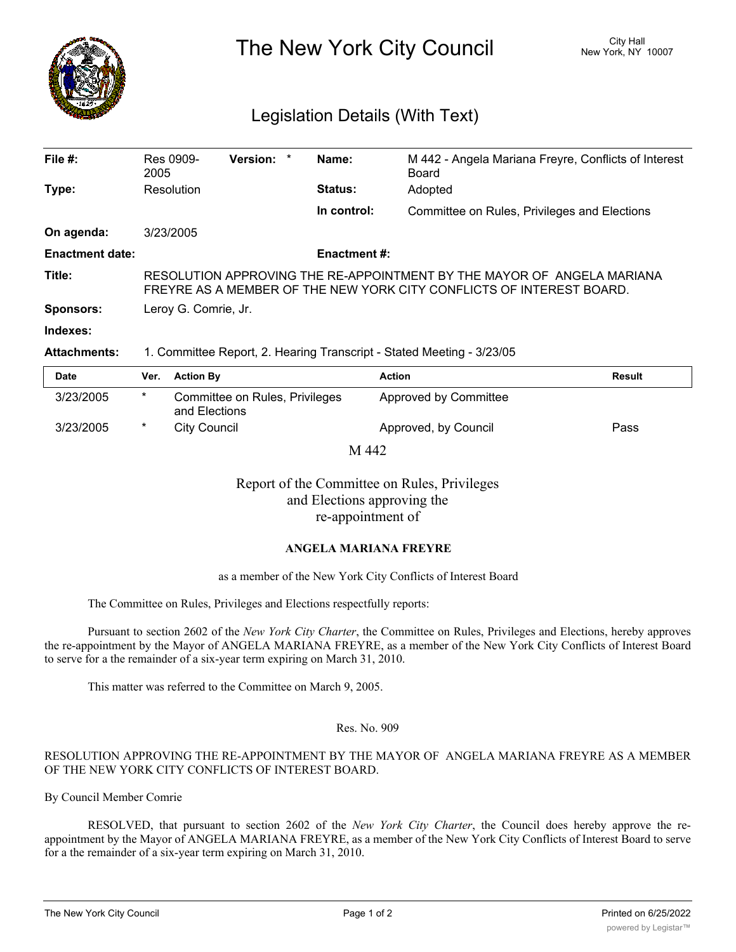

The New York City Council New York, NY 10007

# Legislation Details (With Text)

| File $#$ :             | Res 0909-<br>2005                                                                                                                              | Version: * |  | Name:          | M 442 - Angela Mariana Freyre, Conflicts of Interest<br>Board |  |  |
|------------------------|------------------------------------------------------------------------------------------------------------------------------------------------|------------|--|----------------|---------------------------------------------------------------|--|--|
| Type:                  | Resolution                                                                                                                                     |            |  | <b>Status:</b> | Adopted                                                       |  |  |
|                        |                                                                                                                                                |            |  | In control:    | Committee on Rules, Privileges and Elections                  |  |  |
| On agenda:             | 3/23/2005                                                                                                                                      |            |  |                |                                                               |  |  |
| <b>Enactment date:</b> | <b>Enactment #:</b>                                                                                                                            |            |  |                |                                                               |  |  |
| Title:                 | RESOLUTION APPROVING THE RE-APPOINTMENT BY THE MAYOR OF ANGELA MARIANA<br>FREYRE AS A MEMBER OF THE NEW YORK CITY CONFLICTS OF INTEREST BOARD. |            |  |                |                                                               |  |  |
| <b>Sponsors:</b>       | Leroy G. Comrie, Jr.                                                                                                                           |            |  |                |                                                               |  |  |
| Indexes:               |                                                                                                                                                |            |  |                |                                                               |  |  |

### **Attachments:** 1. Committee Report, 2. Hearing Transcript - Stated Meeting - 3/23/05

| Date         | Ver. | <b>Action By</b>                                | <b>Action</b>         | <b>Result</b> |  |  |  |  |
|--------------|------|-------------------------------------------------|-----------------------|---------------|--|--|--|--|
| 3/23/2005    | *    | Committee on Rules, Privileges<br>and Elections | Approved by Committee |               |  |  |  |  |
| 3/23/2005    | *    | City Council                                    | Approved, by Council  | Pass          |  |  |  |  |
| <b>Triin</b> |      |                                                 |                       |               |  |  |  |  |

M 442

Report of the Committee on Rules, Privileges and Elections approving the re-appointment of

## **ANGELA MARIANA FREYRE**

### as a member of the New York City Conflicts of Interest Board

The Committee on Rules, Privileges and Elections respectfully reports:

Pursuant to section 2602 of the *New York City Charter*, the Committee on Rules, Privileges and Elections, hereby approves the re-appointment by the Mayor of ANGELA MARIANA FREYRE, as a member of the New York City Conflicts of Interest Board to serve for a the remainder of a six-year term expiring on March 31, 2010.

This matter was referred to the Committee on March 9, 2005.

#### Res. No. 909

### RESOLUTION APPROVING THE RE-APPOINTMENT BY THE MAYOR OF ANGELA MARIANA FREYRE AS A MEMBER OF THE NEW YORK CITY CONFLICTS OF INTEREST BOARD.

By Council Member Comrie

RESOLVED, that pursuant to section 2602 of the *New York City Charter*, the Council does hereby approve the reappointment by the Mayor of ANGELA MARIANA FREYRE, as a member of the New York City Conflicts of Interest Board to serve for a the remainder of a six-year term expiring on March 31, 2010.